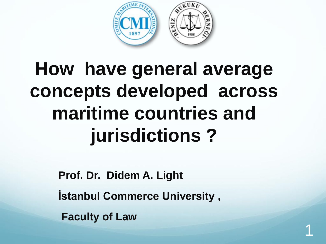

# **How have general average concepts developed across maritime countries and jurisdictions ?**

**Prof. Dr. Didem A. Light**

**İstanbul Commerce University ,** 

1

**Faculty of Law**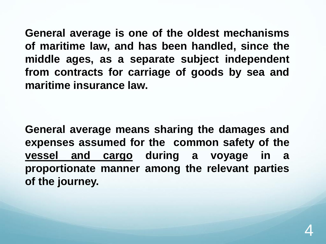**General average is one of the oldest mechanisms of maritime law, and has been handled, since the middle ages, as a separate subject independent from contracts for carriage of goods by sea and maritime insurance law.**

**General average means sharing the damages and expenses assumed for the common safety of the vessel and cargo during a voyage in a proportionate manner among the relevant parties of the journey.**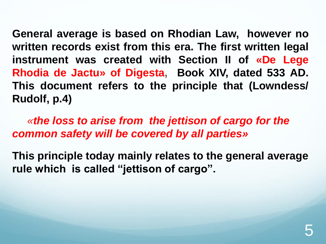**General average is based on Rhodian Law, however no written records exist from this era. The first written legal instrument was created with Section II of «De Lege Rhodia de Jactu» of Digesta, Book XIV, dated 533 AD. This document refers to the principle that (Lowndess/ Rudolf, p.4)**

*«the loss to arise from the jettison of cargo for the common safety will be covered by all parties»* 

**This principle today mainly relates to the general average rule which is called "jettison of cargo".**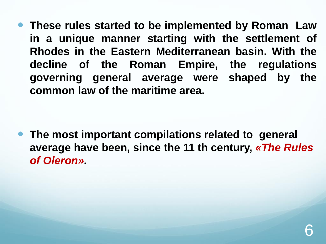**These rules started to be implemented by Roman Law in a unique manner starting with the settlement of Rhodes in the Eastern Mediterranean basin. With the decline of the Roman Empire, the regulations governing general average were shaped by the common law of the maritime area.**

 **The most important compilations related to general average have been, since the 11 th century,** *«The Rules of Oleron».*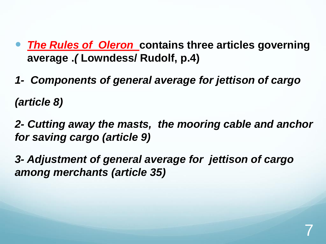- *The Rules of Oleron* **contains three articles governing average .***(* **Lowndess/ Rudolf, p.4)**
- *1- Components of general average for jettison of cargo (article 8)*
- *2- Cutting away the masts, the mooring cable and anchor for saving cargo (article 9)*
- *3- Adjustment of general average for jettison of cargo among merchants (article 35)*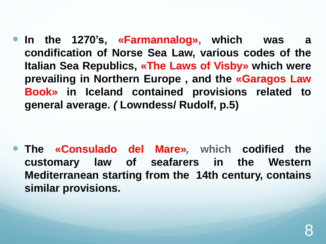**In the 1270's, «Farmannalog», which was a condification of Norse Sea Law, various codes of the Italian Sea Republics, «The Laws of Visby» which were prevailing in Northern Europe , and the «Garagos Law Book» in Iceland contained provisions related to general average.** *(* **Lowndess/ Rudolf, p.5)**

 **The «Consulado del Mare»***,* **which codified the customary law of seafarers in the Western Mediterranean starting from the 14th century, contains similar provisions.**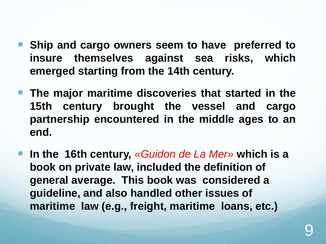- **Ship and cargo owners seem to have preferred to insure themselves against sea risks, which emerged starting from the 14th century.**
- **The major maritime discoveries that started in the 15th century brought the vessel and cargo partnership encountered in the middle ages to an end.**
- **In the 16th century,** *«Guidon de La Mer»* **which is a book on private law, included the definition of general average. This book was considered a guideline, and also handled other issues of maritime law (e.g., freight, maritime loans, etc.)**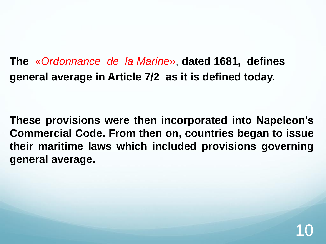**The** «*Ordonnance de la Marine*» , **dated 1681, defines general average in Article 7/2 as it is defined today.**

**These provisions were then incorporated into Napeleon's Commercial Code. From then on, countries began to issue their maritime laws which included provisions governing general average.**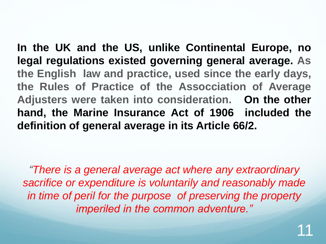**In the UK and the US, unlike Continental Europe, no legal regulations existed governing general average. As the English law and practice, used since the early days, the Rules of Practice of the Assocciation of Average Adjusters were taken into consideration. On the other hand, the Marine Insurance Act of 1906 included the definition of general average in its Article 66/2.**

*"There is a general average act where any extraordinary sacrifice or expenditure is voluntarily and reasonably made in time of peril for the purpose of preserving the property imperiled in the common adventure."*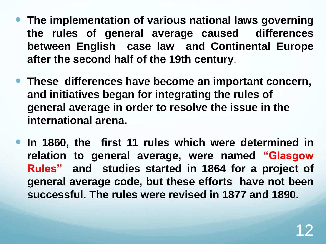- **The implementation of various national laws governing the rules of general average caused differences between English case law and Continental Europe after the second half of the 19th century**.
- **These differences have become an important concern, and initiatives began for integrating the rules of general average in order to resolve the issue in the international arena.**
- **In 1860, the first 11 rules which were determined in relation to general average, were named "Glasgow Rules" and studies started in 1864 for a project of general average code, but these efforts have not been successful. The rules were revised in 1877 and 1890.**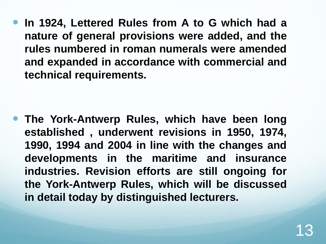**In 1924, Lettered Rules from A to G which had a nature of general provisions were added, and the rules numbered in roman numerals were amended and expanded in accordance with commercial and technical requirements.**

 **The York-Antwerp Rules, which have been long established , underwent revisions in 1950, 1974, 1990, 1994 and 2004 in line with the changes and developments in the maritime and insurance industries. Revision efforts are still ongoing for the York-Antwerp Rules, which will be discussed in detail today by distinguished lecturers.**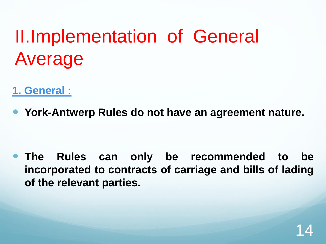# II.Implementation of General Average

- **1. General :**
- **York-Antwerp Rules do not have an agreement nature.**

 **The Rules can only be recommended to be incorporated to contracts of carriage and bills of lading of the relevant parties.**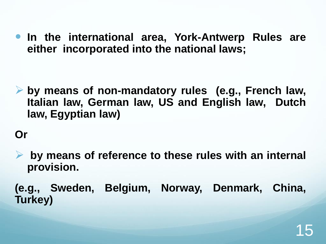**In the international area, York-Antwerp Rules are either incorporated into the national laws;**

 **by means of non-mandatory rules (e.g., French law, Italian law, German law, US and English law, Dutch law, Egyptian law)**

### **Or**

- **by means of reference to these rules with an internal provision.**
- **(e.g., Sweden, Belgium, Norway, Denmark, China, Turkey)**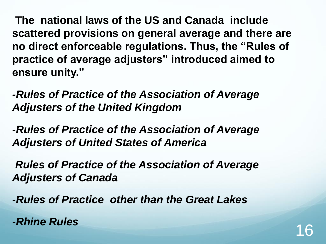**The national laws of the US and Canada include scattered provisions on general average and there are no direct enforceable regulations. Thus, the "Rules of practice of average adjusters" introduced aimed to ensure unity."**

*-Rules of Practice of the Association of Average Adjusters of the United Kingdom*

*-Rules of Practice of the Association of Average Adjusters of United States of America* 

*Rules of Practice of the Association of Average Adjusters of Canada*

*-Rules of Practice other than the Great Lakes*

*Ahine Rules* 16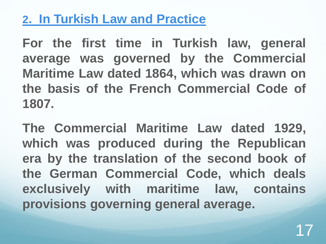## **2. In Turkish Law and Practice**

**For the first time in Turkish law, general average was governed by the Commercial Maritime Law dated 1864, which was drawn on the basis of the French Commercial Code of 1807.**

**The Commercial Maritime Law dated 1929, which was produced during the Republican era by the translation of the second book of the German Commercial Code, which deals exclusively with maritime law, contains provisions governing general average.**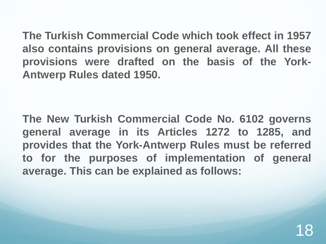**The Turkish Commercial Code which took effect in 1957 also contains provisions on general average. All these provisions were drafted on the basis of the York-Antwerp Rules dated 1950.**

**The New Turkish Commercial Code No. 6102 governs general average in its Articles 1272 to 1285, and provides that the York-Antwerp Rules must be referred to for the purposes of implementation of general average. This can be explained as follows:**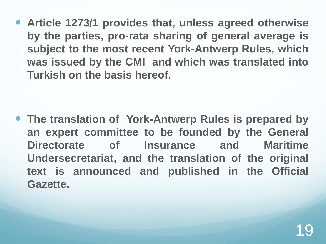**Article 1273/1 provides that, unless agreed otherwise by the parties, pro-rata sharing of general average is subject to the most recent York-Antwerp Rules, which was issued by the CMI and which was translated into Turkish on the basis hereof.**

 **The translation of York-Antwerp Rules is prepared by an expert committee to be founded by the General Directorate of Insurance and Maritime Undersecretariat, and the translation of the original text is announced and published in the Official Gazette.**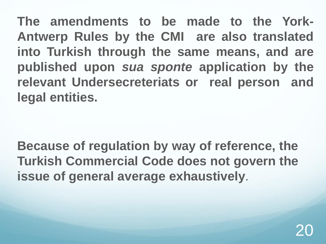**The amendments to be made to the York-Antwerp Rules by the CMI are also translated into Turkish through the same means, and are published upon** *sua sponte* **application by the relevant Undersecreteriats or real person and legal entities.**

**Because of regulation by way of reference, the Turkish Commercial Code does not govern the issue of general average exhaustively**.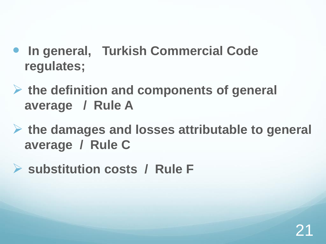- **In general, Turkish Commercial Code regulates;**
- **the definition and components of general average / Rule A**
- **the damages and losses attributable to general average / Rule C**
- **substitution costs / Rule F**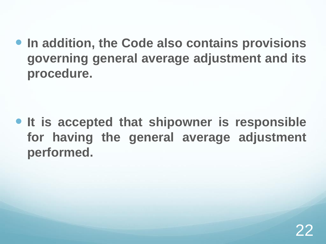**In addition, the Code also contains provisions governing general average adjustment and its procedure.**

 **It is accepted that shipowner is responsible for having the general average adjustment performed.**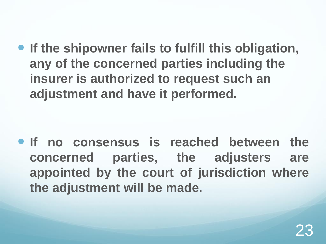**If the shipowner fails to fulfill this obligation, any of the concerned parties including the insurer is authorized to request such an adjustment and have it performed.**

 **If no consensus is reached between the concerned parties, the adjusters are appointed by the court of jurisdiction where the adjustment will be made.**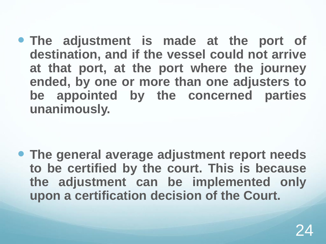**The adjustment is made at the port of destination, and if the vessel could not arrive at that port, at the port where the journey ended, by one or more than one adjusters to be appointed by the concerned parties unanimously.**

 **The general average adjustment report needs to be certified by the court. This is because the adjustment can be implemented only upon a certification decision of the Court.**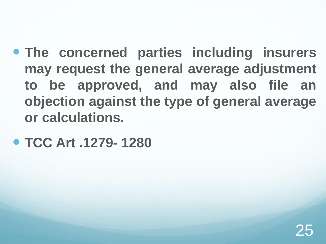- **The concerned parties including insurers may request the general average adjustment to be approved, and may also file an objection against the type of general average or calculations.**
- **TCC Art .1279- 1280**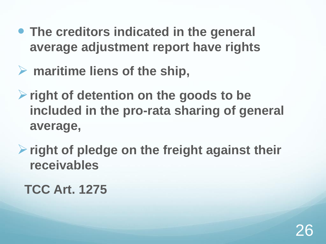- **The creditors indicated in the general average adjustment report have rights**
- **maritime liens of the ship,**
- **right of detention on the goods to be included in the pro-rata sharing of general average,**
- **right of pledge on the freight against their receivables**

**TCC Art. 1275**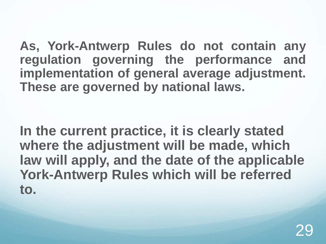**As, York-Antwerp Rules do not contain any regulation governing the performance and implementation of general average adjustment. These are governed by national laws.**

**In the current practice, it is clearly stated where the adjustment will be made, which law will apply, and the date of the applicable York-Antwerp Rules which will be referred to.**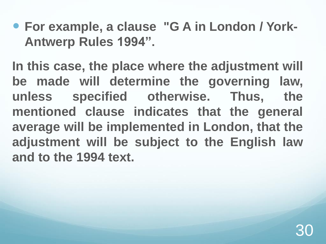**For example, a clause "G A in London / York-Antwerp Rules 1994".**

**In this case, the place where the adjustment will be made will determine the governing law, unless specified otherwise. Thus, the mentioned clause indicates that the general average will be implemented in London, that the adjustment will be subject to the English law and to the 1994 text.**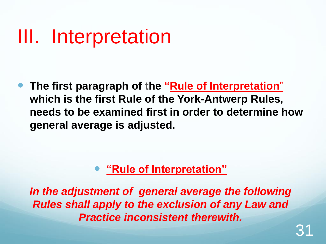# III. Interpretation

 **The first paragraph of the "Rule of Interpretation**" **which is the first Rule of the York-Antwerp Rules, needs to be examined first in order to determine how general average is adjusted.** 

### **"Rule of Interpretation"**

*In the adjustment of general average the following Rules shall apply to the exclusion of any Law and Practice inconsistent therewith.*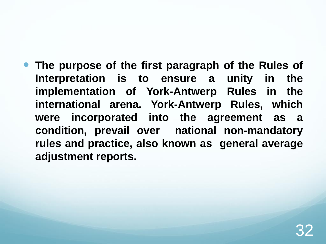**The purpose of the first paragraph of the Rules of Interpretation is to ensure a unity in the implementation of York-Antwerp Rules in the international arena. York-Antwerp Rules, which were incorporated into the agreement as a condition, prevail over national non-mandatory rules and practice, also known as general average adjustment reports.**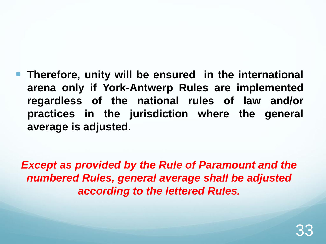### **Therefore, unity will be ensured in the international arena only if York-Antwerp Rules are implemented regardless of the national rules of law and/or practices in the jurisdiction where the general average is adjusted.**

*Except as provided by the Rule of Paramount and the numbered Rules, general average shall be adjusted according to the lettered Rules.*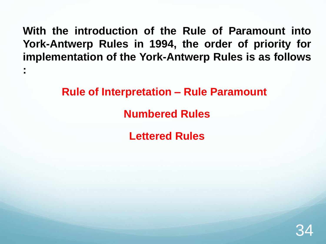**With the introduction of the Rule of Paramount into York-Antwerp Rules in 1994, the order of priority for implementation of the York-Antwerp Rules is as follows**

**:**

**Rule of Interpretation – Rule Paramount Numbered Rules Lettered Rules** 

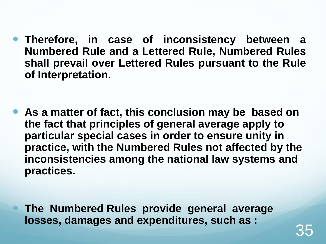**Therefore, in case of inconsistency between a Numbered Rule and a Lettered Rule, Numbered Rules shall prevail over Lettered Rules pursuant to the Rule of Interpretation.**

 **As a matter of fact, this conclusion may be based on the fact that principles of general average apply to particular special cases in order to ensure unity in practice, with the Numbered Rules not affected by the inconsistencies among the national law systems and practices.**

 **The Numbered Rules provide general average losses, damages and expenditures, such as :**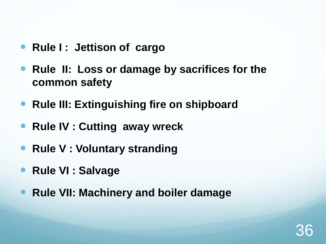- **Rule I: Jettison of cargo**
- **Rule II: Loss or damage by sacrifices for the common safety**
- **Rule III: Extinguishing fire on shipboard**
- **Rule IV : Cutting away wreck**
- **Rule V : Voluntary stranding**
- **Rule VI : Salvage**
- **Rule VII: Machinery and boiler damage**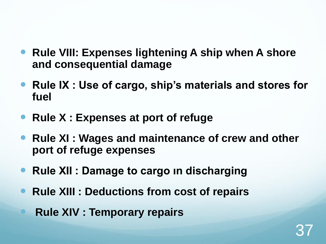- **Rule VIII: Expenses lightening A ship when A shore and consequential damage**
- **Rule IX : Use of cargo, ship's materials and stores for fuel**
- **Rule X : Expenses at port of refuge**
- **Rule XI : Wages and maintenance of crew and other port of refuge expenses**
- **Rule XII : Damage to cargo in discharging**
- **Rule XIII : Deductions from cost of repairs**
	- **Rule XIV : Temporary repairs**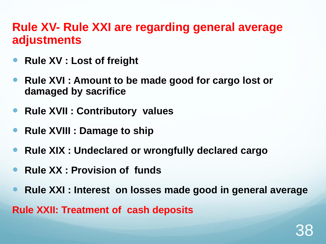### **Rule XV- Rule XXI are regarding general average adjustments**

- **Rule XV : Lost of freight**
- **Rule XVI : Amount to be made good for cargo lost or damaged by sacrifice**
- **Rule XVII : Contributory values**
- **Rule XVIII : Damage to ship**
- **Rule XIX : Undeclared or wrongfully declared cargo**
- **Rule XX : Provision of funds**
- **Rule XXI : Interest on losses made good in general average Rule XXII: Treatment of cash deposits**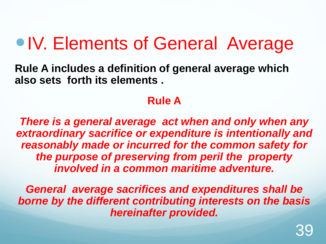## • IV. Elements of General Average

**Rule A includes a definition of general average which also sets forth its elements .**

#### **Rule A**

*There is a general average act when and only when any extraordinary sacrifice or expenditure is intentionally and reasonably made or incurred for the common safety for the purpose of preserving from peril the property involved in a common maritime adventure.* 

*General average sacrifices and expenditures shall be borne by the different contributing interests on the basis hereinafter provided.*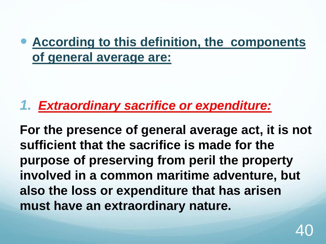## **According to this definition, the components of general average are:**

## *1. Extraordinary sacrifice or expenditure:*

**For the presence of general average act, it is not sufficient that the sacrifice is made for the purpose of preserving from peril the property involved in a common maritime adventure, but also the loss or expenditure that has arisen must have an extraordinary nature.**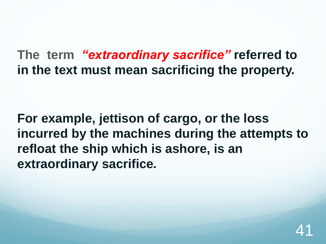**The term** *"extraordinary sacrifice"* **referred to in the text must mean sacrificing the property.** 

**For example, jettison of cargo, or the loss incurred by the machines during the attempts to refloat the ship which is ashore, is an extraordinary sacrifice***.*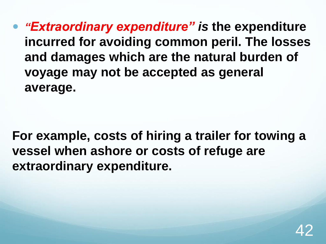*"Extraordinary expenditure" is* **the expenditure incurred for avoiding common peril. The losses and damages which are the natural burden of voyage may not be accepted as general average.** 

**For example, costs of hiring a trailer for towing a vessel when ashore or costs of refuge are extraordinary expenditure.**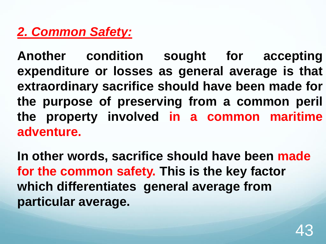## *2. Common Safety:*

**Another condition sought for accepting expenditure or losses as general average is that extraordinary sacrifice should have been made for the purpose of preserving from a common peril the property involved in a common maritime adventure.**

**In other words, sacrifice should have been made for the common safety. This is the key factor which differentiates general average from particular average.**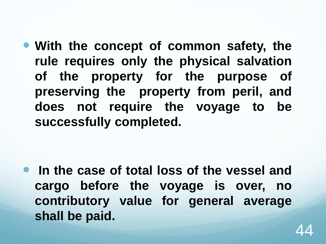**With the concept of common safety, the rule requires only the physical salvation of the property for the purpose of preserving the property from peril, and does not require the voyage to be successfully completed.**

 **In the case of total loss of the vessel and cargo before the voyage is over, no contributory value for general average shall be paid.**

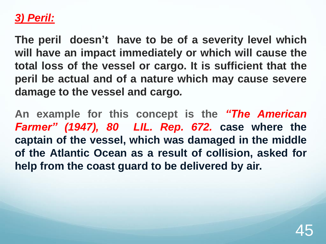### *3) Peril:*

**The peril doesn't have to be of a severity level which will have an impact immediately or which will cause the total loss of the vessel or cargo. It is sufficient that the peril be actual and of a nature which may cause severe damage to the vessel and cargo***.*

**An example for this concept is the** *"The American Farmer" (1947), 80 LIL. Rep. 672.* **case where the captain of the vessel, which was damaged in the middle of the Atlantic Ocean as a result of collision, asked for help from the coast guard to be delivered by air.**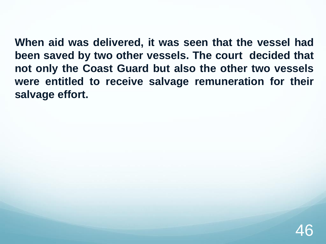**When aid was delivered, it was seen that the vessel had been saved by two other vessels. The court decided that not only the Coast Guard but also the other two vessels were entitled to receive salvage remuneration for their salvage effort.**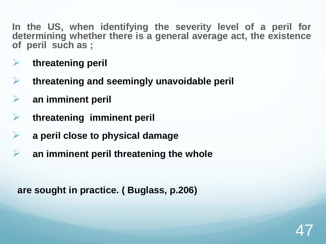**In the US, when identifying the severity level of a peril for determining whether there is a general average act, the existence of peril such as ;**

- **threatening peril**
- **threatening and seemingly unavoidable peril**
- **an imminent peril**
- **threatening imminent peril**
- **a peril close to physical damage**
- **an imminent peril threatening the whole**

**are sought in practice. ( Buglass, p.206)**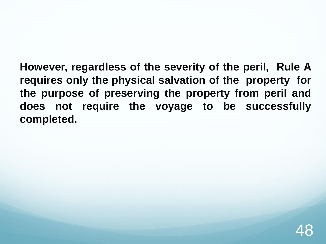**However, regardless of the severity of the peril, Rule A requires only the physical salvation of the property for the purpose of preserving the property from peril and does not require the voyage to be successfully completed.**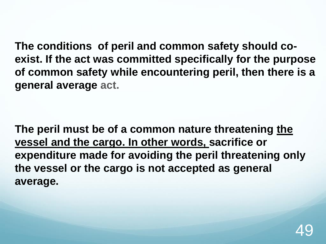**The conditions of peril and common safety should coexist. If the act was committed specifically for the purpose of common safety while encountering peril, then there is a general average act.** 

**The peril must be of a common nature threatening the vessel and the cargo. In other words, sacrifice or expenditure made for avoiding the peril threatening only the vessel or the cargo is not accepted as general average.**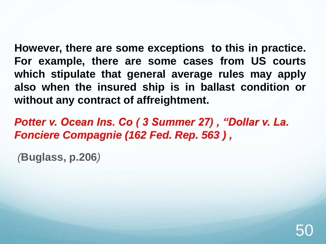**However, there are some exceptions to this in practice. For example, there are some cases from US courts which stipulate that general average rules may apply also when the insured ship is in ballast condition or without any contract of affreightment.**

*Potter v. Ocean Ins. Co ( 3 Summer 27) , "Dollar v. La. Fonciere Compagnie (162 Fed. Rep. 563 ) ,* 

*(***Buglass, p.206***)*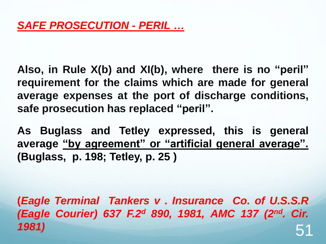**Also, in Rule X(b) and XI(b), where there is no "peril" requirement for the claims which are made for general average expenses at the port of discharge conditions, safe prosecution has replaced "peril".**

**As Buglass and Tetley expressed, this is general average "by agreement" or "artificial general average". (Buglass, p. 198; Tetley, p. 25 )**

**(***Eagle Terminal Tankers v . Insurance Co. of U.S.S.R (Eagle Courier) 637 F.2 <sup>d</sup> 890, 1981, AMC 137 (2 nd. Cir. 1981)* 51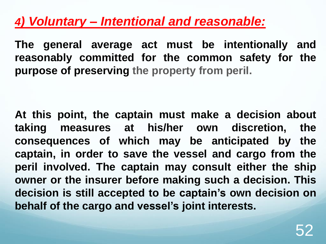## *4) Voluntary – Intentional and reasonable:*

**The general average act must be intentionally and reasonably committed for the common safety for the purpose of preserving the property from peril.**

**At this point, the captain must make a decision about taking measures at his/her own discretion, the consequences of which may be anticipated by the captain, in order to save the vessel and cargo from the peril involved. The captain may consult either the ship owner or the insurer before making such a decision. This decision is still accepted to be captain's own decision on behalf of the cargo and vessel's joint interests.**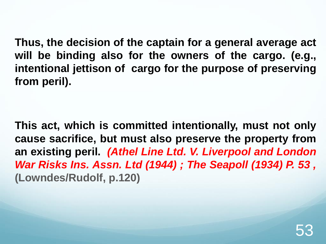**Thus, the decision of the captain for a general average act will be binding also for the owners of the cargo. (e.g., intentional jettison of cargo for the purpose of preserving from peril).**

**This act, which is committed intentionally, must not only cause sacrifice, but must also preserve the property from an existing peril.** *(Athel Line Ltd. V. Liverpool and London War Risks Ins. Assn. Ltd (1944) ; The Seapoll (1934) P. 53 ,* **(Lowndes/Rudolf, p.120)**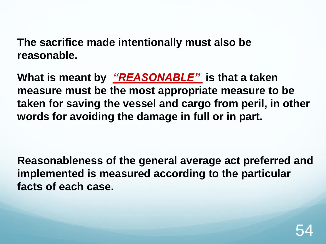**The sacrifice made intentionally must also be reasonable.** 

**What is meant by** *"REASONABLE"* **is that a taken measure must be the most appropriate measure to be taken for saving the vessel and cargo from peril, in other words for avoiding the damage in full or in part.**

**Reasonableness of the general average act preferred and implemented is measured according to the particular facts of each case.**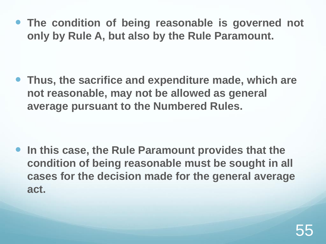**The condition of being reasonable is governed not only by Rule A, but also by the Rule Paramount.**

 **Thus, the sacrifice and expenditure made, which are not reasonable, may not be allowed as general average pursuant to the Numbered Rules.**

 **In this case, the Rule Paramount provides that the condition of being reasonable must be sought in all cases for the decision made for the general average act.**